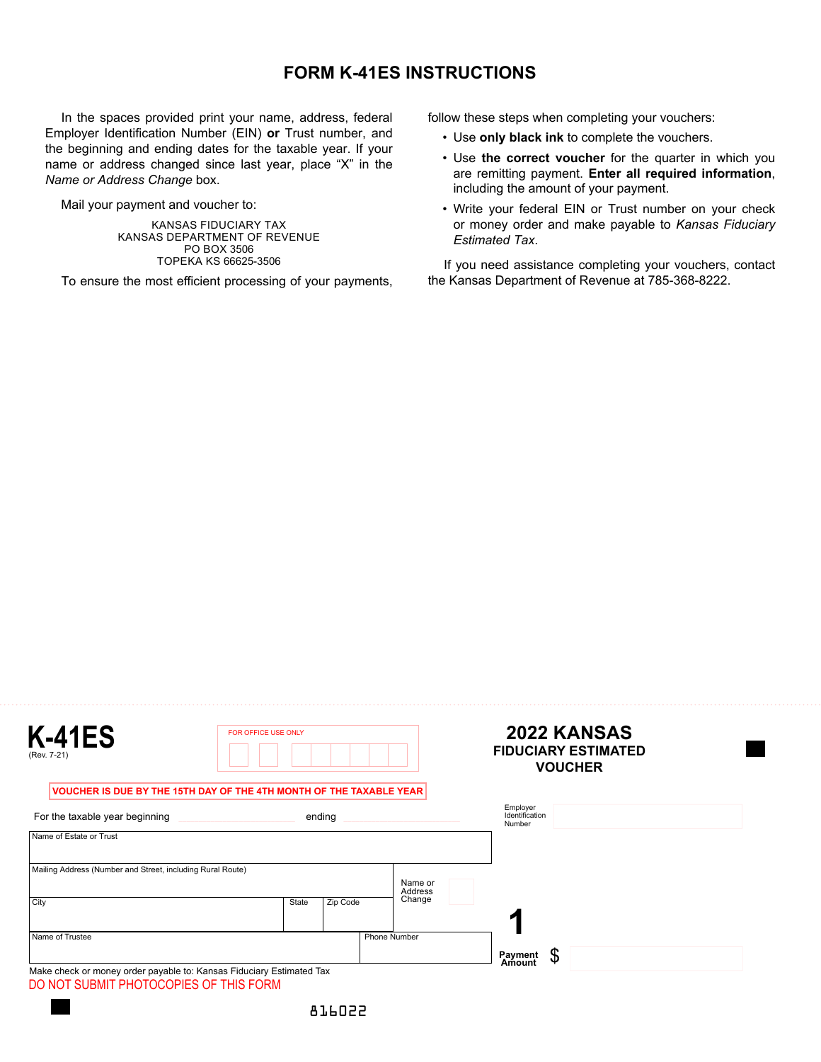## **FORM K-41ES INSTRUCTIONS**

In the spaces provided print your name, address, federal Employer Identification Number (EIN) **or** Trust number, and the beginning and ending dates for the taxable year. If your name or address changed since last year, place "X" in the *Name or Address Change* box.

Mail your payment and voucher to:

KANSAS FIDUCIARY TAX KANSAS DEPARTMENT OF REVENUE PO BOX 3506 TOPEKA KS 66625-3506

To ensure the most efficient processing of your payments,

follow these steps when completing your vouchers:

- Use **only black ink** to complete the vouchers.
- Use **the correct voucher** for the quarter in which you are remitting payment. **Enter all required information**, including the amount of your payment.
- Write your federal EIN or Trust number on your check or money order and make payable to *Kansas Fiduciary Estimated Tax*.

If you need assistance completing your vouchers, contact the Kansas Department of Revenue at 785-368-8222.

| <b>K-41ES</b><br>(Rev. 7-21)                                         | FOR OFFICE USE ONLY |                     |                    | 2022 KANSAS<br><b>FIDUCIARY ESTIMATED</b><br><b>VOUCHER</b> |
|----------------------------------------------------------------------|---------------------|---------------------|--------------------|-------------------------------------------------------------|
| VOUCHER IS DUE BY THE 15TH DAY OF THE 4TH MONTH OF THE TAXABLE YEAR  |                     |                     |                    |                                                             |
| For the taxable year beginning                                       |                     | ending              |                    | Employer<br>Identification<br>Number                        |
| Name of Estate or Trust                                              |                     |                     |                    |                                                             |
| Mailing Address (Number and Street, including Rural Route)           |                     |                     | Name or<br>Address |                                                             |
| City                                                                 | State               | Zip Code            | Change             |                                                             |
| Name of Trustee                                                      |                     | <b>Phone Number</b> |                    |                                                             |
| Make check or money order payable to: Kansas Fiduciary Estimated Tax |                     |                     |                    | \$<br>Payment<br>Amount                                     |
| DO NOT SUBMIT PHOTOCOPIES OF THIS FORM                               |                     |                     |                    |                                                             |